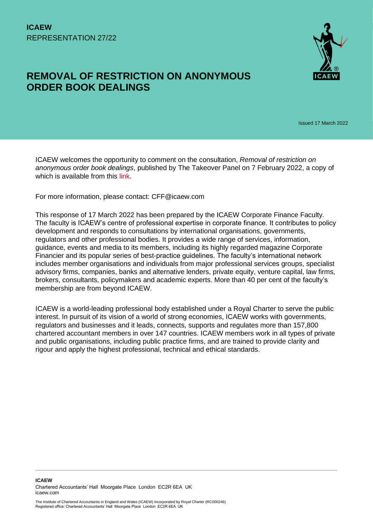## **REMOVAL OF RESTRICTION ON ANONYMOUS ORDER BOOK DEALINGS**



Issued 17 March 2022

ICAEW welcomes the opportunity to comment on the consultation, *Removal of restriction on anonymous order book dealings*, published by The Takeover Panel on 7 February 2022, a copy of which is available from this [link.](https://www.thetakeoverpanel.org.uk/wp-content/uploads/2022/02/PCP-2022-1-Removal-of-restriction-on-anonymous-order-book-dealings.pdf)

For more information, please contact: CFF@icaew.com

This response of 17 March 2022 has been prepared by the ICAEW Corporate Finance Faculty. The faculty is ICAEW's centre of professional expertise in corporate finance. It contributes to policy development and responds to consultations by international organisations, governments, regulators and other professional bodies. It provides a wide range of services, information, guidance, events and media to its members, including its highly regarded magazine Corporate Financier and its popular series of best-practice guidelines. The faculty's international network includes member organisations and individuals from major professional services groups, specialist advisory firms, companies, banks and alternative lenders, private equity, venture capital, law firms, brokers, consultants, policymakers and academic experts. More than 40 per cent of the faculty's membership are from beyond ICAEW.

ICAEW is a world-leading professional body established under a Royal Charter to serve the public interest. In pursuit of its vision of a world of strong economies, ICAEW works with governments, regulators and businesses and it leads, connects, supports and regulates more than 157,800 chartered accountant members in over 147 countries. ICAEW members work in all types of private and public organisations, including public practice firms, and are trained to provide clarity and rigour and apply the highest professional, technical and ethical standards.